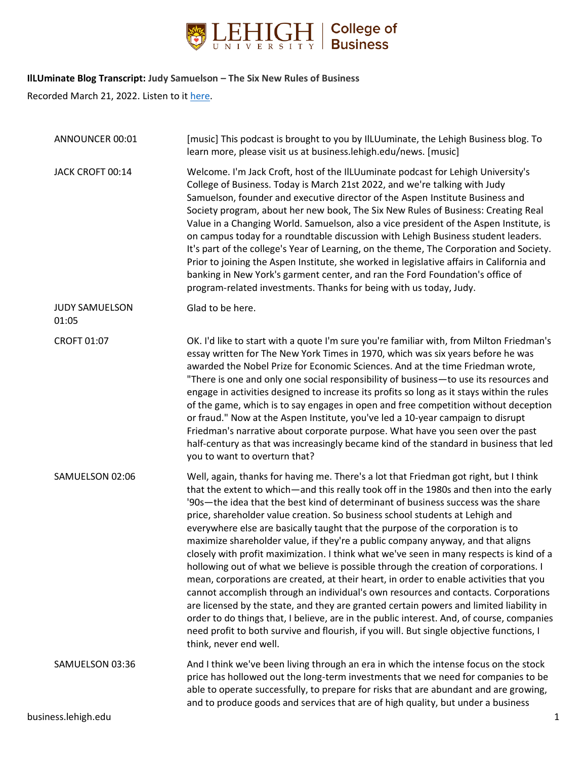

## **IlLUminate Blog Transcript: Judy Samuelson – The Six New Rules of Business**

Recorded March 21, 2022. Listen to i[t here.](https://business.lehigh.edu/blog/2022/judy-samuelson-six-new-rules-business)

| ANNOUNCER 00:01                | [music] This podcast is brought to you by IlLUuminate, the Lehigh Business blog. To<br>learn more, please visit us at business.lehigh.edu/news. [music]                                                                                                                                                                                                                                                                                                                                                                                                                                                                                                                                                                                                                                                                                                                                                                                                                                                                                                                                                                                                                                                    |   |
|--------------------------------|------------------------------------------------------------------------------------------------------------------------------------------------------------------------------------------------------------------------------------------------------------------------------------------------------------------------------------------------------------------------------------------------------------------------------------------------------------------------------------------------------------------------------------------------------------------------------------------------------------------------------------------------------------------------------------------------------------------------------------------------------------------------------------------------------------------------------------------------------------------------------------------------------------------------------------------------------------------------------------------------------------------------------------------------------------------------------------------------------------------------------------------------------------------------------------------------------------|---|
| JACK CROFT 00:14               | Welcome. I'm Jack Croft, host of the IlLUuminate podcast for Lehigh University's<br>College of Business. Today is March 21st 2022, and we're talking with Judy<br>Samuelson, founder and executive director of the Aspen Institute Business and<br>Society program, about her new book, The Six New Rules of Business: Creating Real<br>Value in a Changing World. Samuelson, also a vice president of the Aspen Institute, is<br>on campus today for a roundtable discussion with Lehigh Business student leaders.<br>It's part of the college's Year of Learning, on the theme, The Corporation and Society.<br>Prior to joining the Aspen Institute, she worked in legislative affairs in California and<br>banking in New York's garment center, and ran the Ford Foundation's office of<br>program-related investments. Thanks for being with us today, Judy.                                                                                                                                                                                                                                                                                                                                         |   |
| <b>JUDY SAMUELSON</b><br>01:05 | Glad to be here.                                                                                                                                                                                                                                                                                                                                                                                                                                                                                                                                                                                                                                                                                                                                                                                                                                                                                                                                                                                                                                                                                                                                                                                           |   |
| CROFT 01:07                    | OK. I'd like to start with a quote I'm sure you're familiar with, from Milton Friedman's<br>essay written for The New York Times in 1970, which was six years before he was<br>awarded the Nobel Prize for Economic Sciences. And at the time Friedman wrote,<br>"There is one and only one social responsibility of business-to use its resources and<br>engage in activities designed to increase its profits so long as it stays within the rules<br>of the game, which is to say engages in open and free competition without deception<br>or fraud." Now at the Aspen Institute, you've led a 10-year campaign to disrupt<br>Friedman's narrative about corporate purpose. What have you seen over the past<br>half-century as that was increasingly became kind of the standard in business that led<br>you to want to overturn that?                                                                                                                                                                                                                                                                                                                                                                |   |
| SAMUELSON 02:06                | Well, again, thanks for having me. There's a lot that Friedman got right, but I think<br>that the extent to which—and this really took off in the 1980s and then into the early<br>'90s-the idea that the best kind of determinant of business success was the share<br>price, shareholder value creation. So business school students at Lehigh and<br>everywhere else are basically taught that the purpose of the corporation is to<br>maximize shareholder value, if they're a public company anyway, and that aligns<br>closely with profit maximization. I think what we've seen in many respects is kind of a<br>hollowing out of what we believe is possible through the creation of corporations. I<br>mean, corporations are created, at their heart, in order to enable activities that you<br>cannot accomplish through an individual's own resources and contacts. Corporations<br>are licensed by the state, and they are granted certain powers and limited liability in<br>order to do things that, I believe, are in the public interest. And, of course, companies<br>need profit to both survive and flourish, if you will. But single objective functions, I<br>think, never end well. |   |
| SAMUELSON 03:36                | And I think we've been living through an era in which the intense focus on the stock<br>price has hollowed out the long-term investments that we need for companies to be<br>able to operate successfully, to prepare for risks that are abundant and are growing,<br>and to produce goods and services that are of high quality, but under a business                                                                                                                                                                                                                                                                                                                                                                                                                                                                                                                                                                                                                                                                                                                                                                                                                                                     |   |
| business.lehigh.edu            |                                                                                                                                                                                                                                                                                                                                                                                                                                                                                                                                                                                                                                                                                                                                                                                                                                                                                                                                                                                                                                                                                                                                                                                                            | 1 |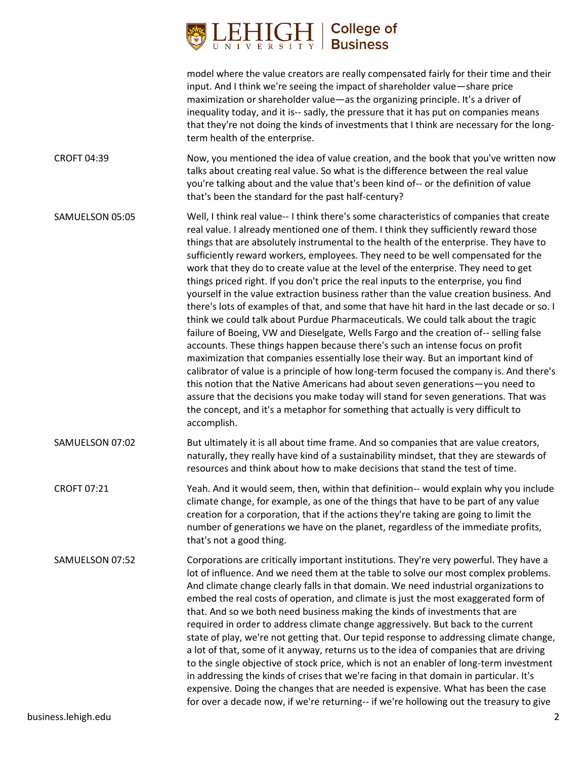

model where the value creators are really compensated fairly for their time and their input. And I think we're seeing the impact of shareholder value—share price maximization or shareholder value—as the organizing principle. It's a driver of inequality today, and it is-- sadly, the pressure that it has put on companies means that they're not doing the kinds of investments that I think are necessary for the longterm health of the enterprise.

- CROFT 04:39 Now, you mentioned the idea of value creation, and the book that you've written now talks about creating real value. So what is the difference between the real value you're talking about and the value that's been kind of-- or the definition of value that's been the standard for the past half-century?
- SAMUELSON 05:05 Well, I think real value-- I think there's some characteristics of companies that create real value. I already mentioned one of them. I think they sufficiently reward those things that are absolutely instrumental to the health of the enterprise. They have to sufficiently reward workers, employees. They need to be well compensated for the work that they do to create value at the level of the enterprise. They need to get things priced right. If you don't price the real inputs to the enterprise, you find yourself in the value extraction business rather than the value creation business. And there's lots of examples of that, and some that have hit hard in the last decade or so. I think we could talk about Purdue Pharmaceuticals. We could talk about the tragic failure of Boeing, VW and Dieselgate, Wells Fargo and the creation of-- selling false accounts. These things happen because there's such an intense focus on profit maximization that companies essentially lose their way. But an important kind of calibrator of value is a principle of how long-term focused the company is. And there's this notion that the Native Americans had about seven generations—you need to assure that the decisions you make today will stand for seven generations. That was the concept, and it's a metaphor for something that actually is very difficult to accomplish.
- SAMUELSON 07:02 But ultimately it is all about time frame. And so companies that are value creators, naturally, they really have kind of a sustainability mindset, that they are stewards of resources and think about how to make decisions that stand the test of time.
- CROFT 07:21 Yeah. And it would seem, then, within that definition-- would explain why you include climate change, for example, as one of the things that have to be part of any value creation for a corporation, that if the actions they're taking are going to limit the number of generations we have on the planet, regardless of the immediate profits, that's not a good thing.

SAMUELSON 07:52 Corporations are critically important institutions. They're very powerful. They have a lot of influence. And we need them at the table to solve our most complex problems. And climate change clearly falls in that domain. We need industrial organizations to embed the real costs of operation, and climate is just the most exaggerated form of that. And so we both need business making the kinds of investments that are required in order to address climate change aggressively. But back to the current state of play, we're not getting that. Our tepid response to addressing climate change, a lot of that, some of it anyway, returns us to the idea of companies that are driving to the single objective of stock price, which is not an enabler of long-term investment in addressing the kinds of crises that we're facing in that domain in particular. It's expensive. Doing the changes that are needed is expensive. What has been the case for over a decade now, if we're returning-- if we're hollowing out the treasury to give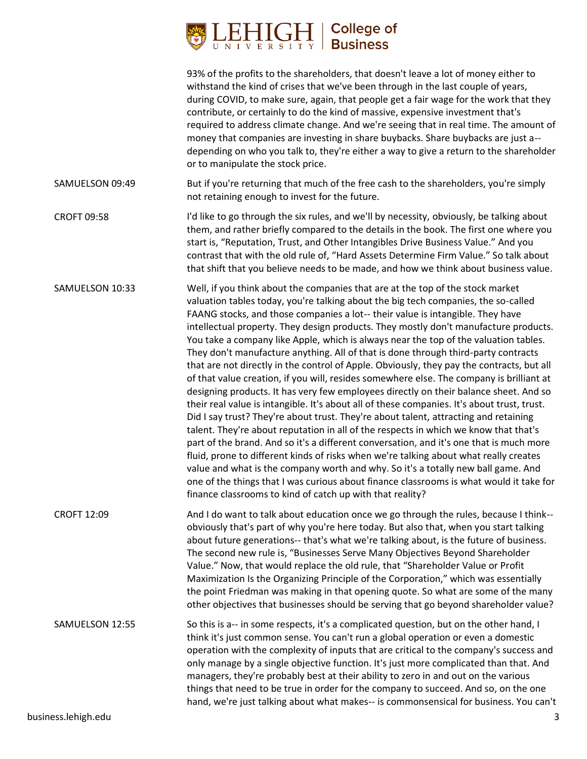

|                     | 93% of the profits to the shareholders, that doesn't leave a lot of money either to<br>withstand the kind of crises that we've been through in the last couple of years,<br>during COVID, to make sure, again, that people get a fair wage for the work that they<br>contribute, or certainly to do the kind of massive, expensive investment that's<br>required to address climate change. And we're seeing that in real time. The amount of<br>money that companies are investing in share buybacks. Share buybacks are just a--<br>depending on who you talk to, they're either a way to give a return to the shareholder<br>or to manipulate the stock price.                                                                                                                                                                                                                                                                                                                                                                                                                                                                                                                                                                                                                                                                                                                                                                                                                                                              |
|---------------------|--------------------------------------------------------------------------------------------------------------------------------------------------------------------------------------------------------------------------------------------------------------------------------------------------------------------------------------------------------------------------------------------------------------------------------------------------------------------------------------------------------------------------------------------------------------------------------------------------------------------------------------------------------------------------------------------------------------------------------------------------------------------------------------------------------------------------------------------------------------------------------------------------------------------------------------------------------------------------------------------------------------------------------------------------------------------------------------------------------------------------------------------------------------------------------------------------------------------------------------------------------------------------------------------------------------------------------------------------------------------------------------------------------------------------------------------------------------------------------------------------------------------------------|
| SAMUELSON 09:49     | But if you're returning that much of the free cash to the shareholders, you're simply<br>not retaining enough to invest for the future.                                                                                                                                                                                                                                                                                                                                                                                                                                                                                                                                                                                                                                                                                                                                                                                                                                                                                                                                                                                                                                                                                                                                                                                                                                                                                                                                                                                        |
| <b>CROFT 09:58</b>  | I'd like to go through the six rules, and we'll by necessity, obviously, be talking about<br>them, and rather briefly compared to the details in the book. The first one where you<br>start is, "Reputation, Trust, and Other Intangibles Drive Business Value." And you<br>contrast that with the old rule of, "Hard Assets Determine Firm Value." So talk about<br>that shift that you believe needs to be made, and how we think about business value.                                                                                                                                                                                                                                                                                                                                                                                                                                                                                                                                                                                                                                                                                                                                                                                                                                                                                                                                                                                                                                                                      |
| SAMUELSON 10:33     | Well, if you think about the companies that are at the top of the stock market<br>valuation tables today, you're talking about the big tech companies, the so-called<br>FAANG stocks, and those companies a lot-- their value is intangible. They have<br>intellectual property. They design products. They mostly don't manufacture products.<br>You take a company like Apple, which is always near the top of the valuation tables.<br>They don't manufacture anything. All of that is done through third-party contracts<br>that are not directly in the control of Apple. Obviously, they pay the contracts, but all<br>of that value creation, if you will, resides somewhere else. The company is brilliant at<br>designing products. It has very few employees directly on their balance sheet. And so<br>their real value is intangible. It's about all of these companies. It's about trust, trust.<br>Did I say trust? They're about trust. They're about talent, attracting and retaining<br>talent. They're about reputation in all of the respects in which we know that that's<br>part of the brand. And so it's a different conversation, and it's one that is much more<br>fluid, prone to different kinds of risks when we're talking about what really creates<br>value and what is the company worth and why. So it's a totally new ball game. And<br>one of the things that I was curious about finance classrooms is what would it take for<br>finance classrooms to kind of catch up with that reality? |
| <b>CROFT 12:09</b>  | And I do want to talk about education once we go through the rules, because I think--<br>obviously that's part of why you're here today. But also that, when you start talking<br>about future generations-- that's what we're talking about, is the future of business.<br>The second new rule is, "Businesses Serve Many Objectives Beyond Shareholder<br>Value." Now, that would replace the old rule, that "Shareholder Value or Profit<br>Maximization Is the Organizing Principle of the Corporation," which was essentially<br>the point Friedman was making in that opening quote. So what are some of the many<br>other objectives that businesses should be serving that go beyond shareholder value?                                                                                                                                                                                                                                                                                                                                                                                                                                                                                                                                                                                                                                                                                                                                                                                                                |
| SAMUELSON 12:55     | So this is a-- in some respects, it's a complicated question, but on the other hand, I<br>think it's just common sense. You can't run a global operation or even a domestic<br>operation with the complexity of inputs that are critical to the company's success and<br>only manage by a single objective function. It's just more complicated than that. And<br>managers, they're probably best at their ability to zero in and out on the various<br>things that need to be true in order for the company to succeed. And so, on the one<br>hand, we're just talking about what makes-- is commonsensical for business. You can't                                                                                                                                                                                                                                                                                                                                                                                                                                                                                                                                                                                                                                                                                                                                                                                                                                                                                           |
| business.lehigh.edu | 3                                                                                                                                                                                                                                                                                                                                                                                                                                                                                                                                                                                                                                                                                                                                                                                                                                                                                                                                                                                                                                                                                                                                                                                                                                                                                                                                                                                                                                                                                                                              |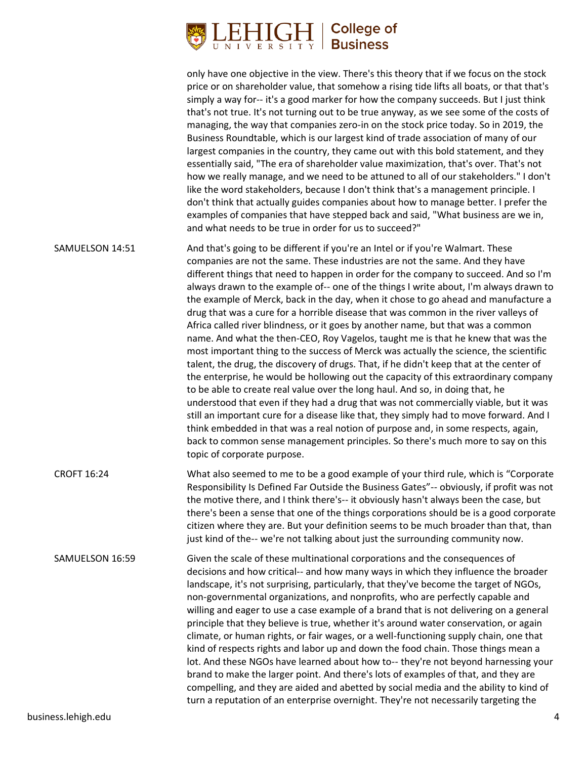

only have one objective in the view. There's this theory that if we focus on the stock price or on shareholder value, that somehow a rising tide lifts all boats, or that that's simply a way for-- it's a good marker for how the company succeeds. But I just think that's not true. It's not turning out to be true anyway, as we see some of the costs of managing, the way that companies zero-in on the stock price today. So in 2019, the Business Roundtable, which is our largest kind of trade association of many of our largest companies in the country, they came out with this bold statement, and they essentially said, "The era of shareholder value maximization, that's over. That's not how we really manage, and we need to be attuned to all of our stakeholders." I don't like the word stakeholders, because I don't think that's a management principle. I don't think that actually guides companies about how to manage better. I prefer the examples of companies that have stepped back and said, "What business are we in, and what needs to be true in order for us to succeed?" SAMUELSON 14:51 And that's going to be different if you're an Intel or if you're Walmart. These companies are not the same. These industries are not the same. And they have different things that need to happen in order for the company to succeed. And so I'm always drawn to the example of-- one of the things I write about, I'm always drawn to the example of Merck, back in the day, when it chose to go ahead and manufacture a drug that was a cure for a horrible disease that was common in the river valleys of Africa called river blindness, or it goes by another name, but that was a common name. And what the then-CEO, Roy Vagelos, taught me is that he knew that was the most important thing to the success of Merck was actually the science, the scientific talent, the drug, the discovery of drugs. That, if he didn't keep that at the center of the enterprise, he would be hollowing out the capacity of this extraordinary company to be able to create real value over the long haul. And so, in doing that, he understood that even if they had a drug that was not commercially viable, but it was still an important cure for a disease like that, they simply had to move forward. And I think embedded in that was a real notion of purpose and, in some respects, again, back to common sense management principles. So there's much more to say on this topic of corporate purpose. CROFT 16:24 What also seemed to me to be a good example of your third rule, which is "Corporate Responsibility Is Defined Far Outside the Business Gates"-- obviously, if profit was not the motive there, and I think there's-- it obviously hasn't always been the case, but there's been a sense that one of the things corporations should be is a good corporate citizen where they are. But your definition seems to be much broader than that, than just kind of the-- we're not talking about just the surrounding community now. SAMUELSON 16:59 Given the scale of these multinational corporations and the consequences of decisions and how critical-- and how many ways in which they influence the broader landscape, it's not surprising, particularly, that they've become the target of NGOs, non-governmental organizations, and nonprofits, who are perfectly capable and willing and eager to use a case example of a brand that is not delivering on a general

principle that they believe is true, whether it's around water conservation, or again climate, or human rights, or fair wages, or a well-functioning supply chain, one that kind of respects rights and labor up and down the food chain. Those things mean a lot. And these NGOs have learned about how to-- they're not beyond harnessing your brand to make the larger point. And there's lots of examples of that, and they are compelling, and they are aided and abetted by social media and the ability to kind of turn a reputation of an enterprise overnight. They're not necessarily targeting the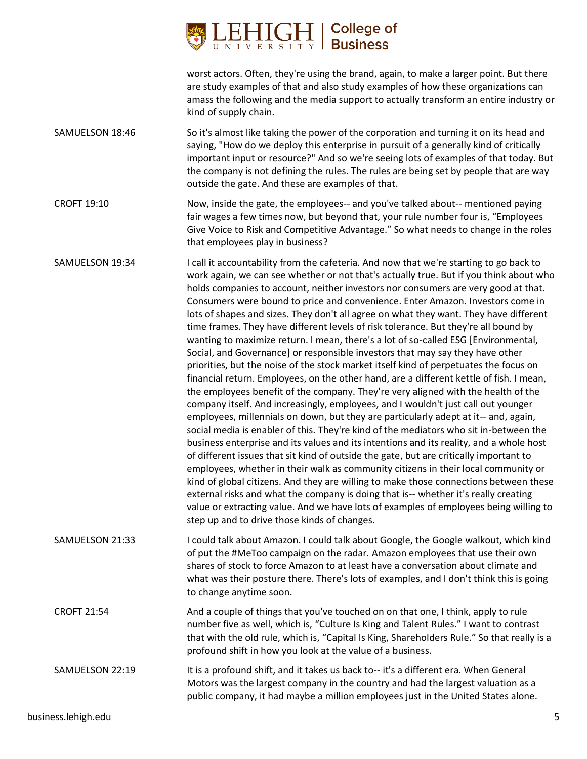

worst actors. Often, they're using the brand, again, to make a larger point. But there are study examples of that and also study examples of how these organizations can amass the following and the media support to actually transform an entire industry or kind of supply chain.

- SAMUELSON 18:46 So it's almost like taking the power of the corporation and turning it on its head and saying, "How do we deploy this enterprise in pursuit of a generally kind of critically important input or resource?" And so we're seeing lots of examples of that today. But the company is not defining the rules. The rules are being set by people that are way outside the gate. And these are examples of that.
- CROFT 19:10 Now, inside the gate, the employees-- and you've talked about-- mentioned paying fair wages a few times now, but beyond that, your rule number four is, "Employees Give Voice to Risk and Competitive Advantage." So what needs to change in the roles that employees play in business?
- SAMUELSON 19:34 I call it accountability from the cafeteria. And now that we're starting to go back to work again, we can see whether or not that's actually true. But if you think about who holds companies to account, neither investors nor consumers are very good at that. Consumers were bound to price and convenience. Enter Amazon. Investors come in lots of shapes and sizes. They don't all agree on what they want. They have different time frames. They have different levels of risk tolerance. But they're all bound by wanting to maximize return. I mean, there's a lot of so-called ESG [Environmental, Social, and Governance] or responsible investors that may say they have other priorities, but the noise of the stock market itself kind of perpetuates the focus on financial return. Employees, on the other hand, are a different kettle of fish. I mean, the employees benefit of the company. They're very aligned with the health of the company itself. And increasingly, employees, and I wouldn't just call out younger employees, millennials on down, but they are particularly adept at it-- and, again, social media is enabler of this. They're kind of the mediators who sit in-between the business enterprise and its values and its intentions and its reality, and a whole host of different issues that sit kind of outside the gate, but are critically important to employees, whether in their walk as community citizens in their local community or kind of global citizens. And they are willing to make those connections between these external risks and what the company is doing that is-- whether it's really creating value or extracting value. And we have lots of examples of employees being willing to step up and to drive those kinds of changes.
- SAMUELSON 21:33 I could talk about Amazon. I could talk about Google, the Google walkout, which kind of put the #MeToo campaign on the radar. Amazon employees that use their own shares of stock to force Amazon to at least have a conversation about climate and what was their posture there. There's lots of examples, and I don't think this is going to change anytime soon.
- CROFT 21:54 And a couple of things that you've touched on on that one, I think, apply to rule number five as well, which is, "Culture Is King and Talent Rules." I want to contrast that with the old rule, which is, "Capital Is King, Shareholders Rule." So that really is a profound shift in how you look at the value of a business.
- SAMUELSON 22:19 It is a profound shift, and it takes us back to-- it's a different era. When General Motors was the largest company in the country and had the largest valuation as a public company, it had maybe a million employees just in the United States alone.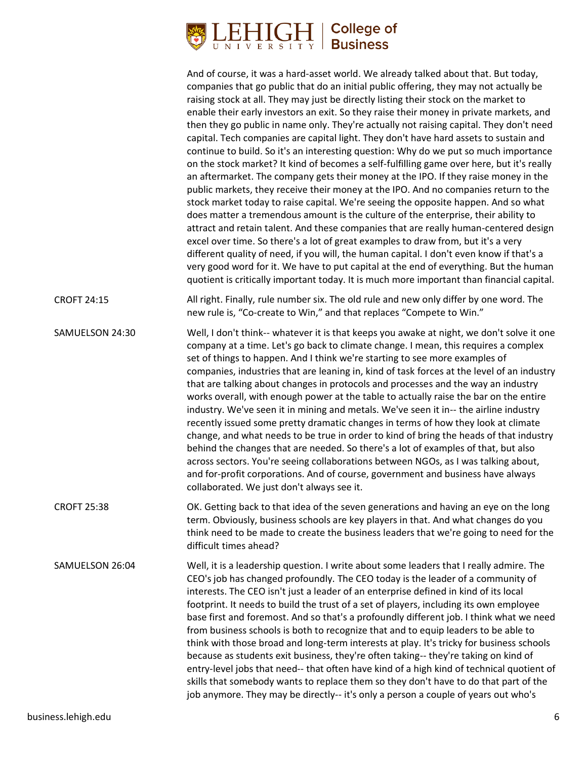

|                    | And of course, it was a hard-asset world. We already talked about that. But today,<br>companies that go public that do an initial public offering, they may not actually be<br>raising stock at all. They may just be directly listing their stock on the market to<br>enable their early investors an exit. So they raise their money in private markets, and<br>then they go public in name only. They're actually not raising capital. They don't need<br>capital. Tech companies are capital light. They don't have hard assets to sustain and<br>continue to build. So it's an interesting question: Why do we put so much importance<br>on the stock market? It kind of becomes a self-fulfilling game over here, but it's really<br>an aftermarket. The company gets their money at the IPO. If they raise money in the<br>public markets, they receive their money at the IPO. And no companies return to the<br>stock market today to raise capital. We're seeing the opposite happen. And so what<br>does matter a tremendous amount is the culture of the enterprise, their ability to<br>attract and retain talent. And these companies that are really human-centered design<br>excel over time. So there's a lot of great examples to draw from, but it's a very<br>different quality of need, if you will, the human capital. I don't even know if that's a<br>very good word for it. We have to put capital at the end of everything. But the human<br>quotient is critically important today. It is much more important than financial capital. |
|--------------------|------------------------------------------------------------------------------------------------------------------------------------------------------------------------------------------------------------------------------------------------------------------------------------------------------------------------------------------------------------------------------------------------------------------------------------------------------------------------------------------------------------------------------------------------------------------------------------------------------------------------------------------------------------------------------------------------------------------------------------------------------------------------------------------------------------------------------------------------------------------------------------------------------------------------------------------------------------------------------------------------------------------------------------------------------------------------------------------------------------------------------------------------------------------------------------------------------------------------------------------------------------------------------------------------------------------------------------------------------------------------------------------------------------------------------------------------------------------------------------------------------------------------------------------------------------------|
| <b>CROFT 24:15</b> | All right. Finally, rule number six. The old rule and new only differ by one word. The<br>new rule is, "Co-create to Win," and that replaces "Compete to Win."                                                                                                                                                                                                                                                                                                                                                                                                                                                                                                                                                                                                                                                                                                                                                                                                                                                                                                                                                                                                                                                                                                                                                                                                                                                                                                                                                                                                   |
| SAMUELSON 24:30    | Well, I don't think-- whatever it is that keeps you awake at night, we don't solve it one<br>company at a time. Let's go back to climate change. I mean, this requires a complex<br>set of things to happen. And I think we're starting to see more examples of<br>companies, industries that are leaning in, kind of task forces at the level of an industry<br>that are talking about changes in protocols and processes and the way an industry<br>works overall, with enough power at the table to actually raise the bar on the entire<br>industry. We've seen it in mining and metals. We've seen it in-- the airline industry<br>recently issued some pretty dramatic changes in terms of how they look at climate<br>change, and what needs to be true in order to kind of bring the heads of that industry<br>behind the changes that are needed. So there's a lot of examples of that, but also<br>across sectors. You're seeing collaborations between NGOs, as I was talking about,<br>and for-profit corporations. And of course, government and business have always<br>collaborated. We just don't always see it.                                                                                                                                                                                                                                                                                                                                                                                                                                 |
| <b>CROFT 25:38</b> | OK. Getting back to that idea of the seven generations and having an eye on the long<br>term. Obviously, business schools are key players in that. And what changes do you<br>think need to be made to create the business leaders that we're going to need for the<br>difficult times ahead?                                                                                                                                                                                                                                                                                                                                                                                                                                                                                                                                                                                                                                                                                                                                                                                                                                                                                                                                                                                                                                                                                                                                                                                                                                                                    |
| SAMUELSON 26:04    | Well, it is a leadership question. I write about some leaders that I really admire. The<br>CEO's job has changed profoundly. The CEO today is the leader of a community of<br>interests. The CEO isn't just a leader of an enterprise defined in kind of its local<br>footprint. It needs to build the trust of a set of players, including its own employee<br>base first and foremost. And so that's a profoundly different job. I think what we need<br>from business schools is both to recognize that and to equip leaders to be able to<br>think with those broad and long-term interests at play. It's tricky for business schools<br>because as students exit business, they're often taking-- they're taking on kind of<br>entry-level jobs that need-- that often have kind of a high kind of technical quotient of<br>skills that somebody wants to replace them so they don't have to do that part of the<br>job anymore. They may be directly-- it's only a person a couple of years out who's                                                                                                                                                                                                                                                                                                                                                                                                                                                                                                                                                      |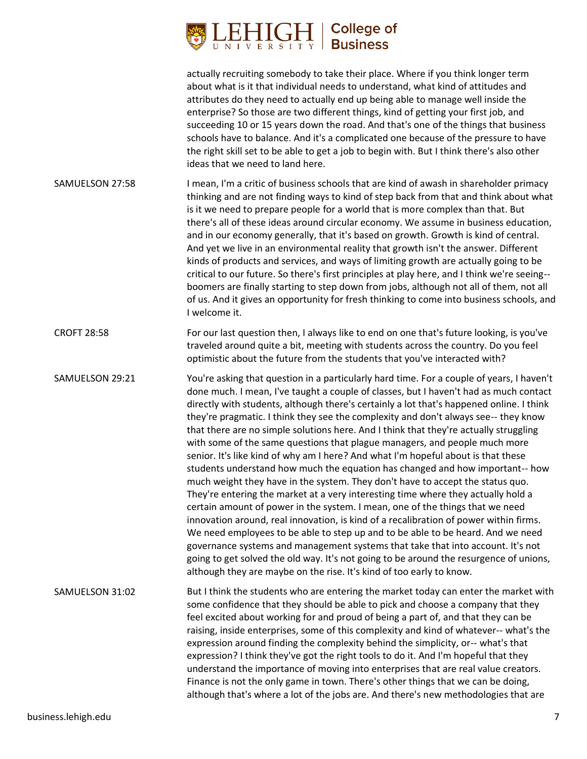

actually recruiting somebody to take their place. Where if you think longer term about what is it that individual needs to understand, what kind of attitudes and attributes do they need to actually end up being able to manage well inside the enterprise? So those are two different things, kind of getting your first job, and succeeding 10 or 15 years down the road. And that's one of the things that business schools have to balance. And it's a complicated one because of the pressure to have the right skill set to be able to get a job to begin with. But I think there's also other ideas that we need to land here.

- SAMUELSON 27:58 I mean, I'm a critic of business schools that are kind of awash in shareholder primacy thinking and are not finding ways to kind of step back from that and think about what is it we need to prepare people for a world that is more complex than that. But there's all of these ideas around circular economy. We assume in business education, and in our economy generally, that it's based on growth. Growth is kind of central. And yet we live in an environmental reality that growth isn't the answer. Different kinds of products and services, and ways of limiting growth are actually going to be critical to our future. So there's first principles at play here, and I think we're seeing- boomers are finally starting to step down from jobs, although not all of them, not all of us. And it gives an opportunity for fresh thinking to come into business schools, and I welcome it.
- CROFT 28:58 For our last question then, I always like to end on one that's future looking, is you've traveled around quite a bit, meeting with students across the country. Do you feel optimistic about the future from the students that you've interacted with?
- SAMUELSON 29:21 You're asking that question in a particularly hard time. For a couple of years, I haven't done much. I mean, I've taught a couple of classes, but I haven't had as much contact directly with students, although there's certainly a lot that's happened online. I think they're pragmatic. I think they see the complexity and don't always see-- they know that there are no simple solutions here. And I think that they're actually struggling with some of the same questions that plague managers, and people much more senior. It's like kind of why am I here? And what I'm hopeful about is that these students understand how much the equation has changed and how important-- how much weight they have in the system. They don't have to accept the status quo. They're entering the market at a very interesting time where they actually hold a certain amount of power in the system. I mean, one of the things that we need innovation around, real innovation, is kind of a recalibration of power within firms. We need employees to be able to step up and to be able to be heard. And we need governance systems and management systems that take that into account. It's not going to get solved the old way. It's not going to be around the resurgence of unions, although they are maybe on the rise. It's kind of too early to know.
- SAMUELSON 31:02 But I think the students who are entering the market today can enter the market with some confidence that they should be able to pick and choose a company that they feel excited about working for and proud of being a part of, and that they can be raising, inside enterprises, some of this complexity and kind of whatever-- what's the expression around finding the complexity behind the simplicity, or-- what's that expression? I think they've got the right tools to do it. And I'm hopeful that they understand the importance of moving into enterprises that are real value creators. Finance is not the only game in town. There's other things that we can be doing, although that's where a lot of the jobs are. And there's new methodologies that are